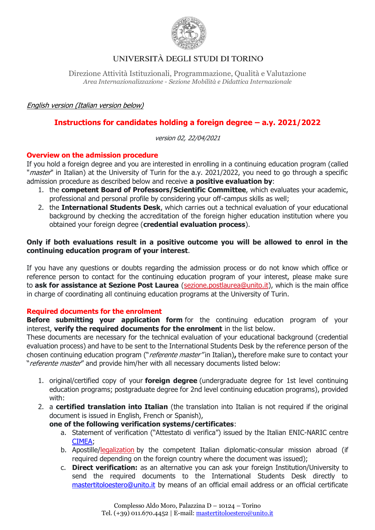

Direzione Attività Istituzionali, Programmazione, Qualità e Valutazione *Area Internazionalizzazione - Sezione Mobilità e Didattica Internazionale*

### English version (Italian version below)

## **Instructions for candidates holding a foreign degree – a.y. 2021/2022**

version 02, 22/04/2021

### **Overview on the admission procedure**

If you hold a foreign degree and you are interested in enrolling in a continuing education program (called "*master*" in Italian) at the University of Turin for the a.y. 2021/2022, you need to go through a specific admission procedure as described below and receive **a positive evaluation by**:

- 1. the **competent Board of Professors/Scientific Committee**, which evaluates your academic, professional and personal profile by considering your off-campus skills as well;
- 2. the **International Students Desk**, which carries out a technical evaluation of your educational background by checking the accreditation of the foreign higher education institution where you obtained your foreign degree (**credential evaluation process**).

### **Only if both evaluations result in a positive outcome you will be allowed to enrol in the continuing education program of your interest**.

If you have any questions or doubts regarding the admission process or do not know which office or reference person to contact for the continuing education program of your interest, please make sure to **ask for assistance at Sezione Post Laurea** [\(sezione.postlaurea@unito.it\)](mailto:sezione.postlaurea@unito.it), which is the main office in charge of coordinating all continuing education programs at the University of Turin.

#### **Required documents for the enrolment**

**Before submitting your application form** for the continuing education program of your interest, **verify the required documents for the enrolment** in the list below.

These documents are necessary for the technical evaluation of your educational background (credential evaluation process) and have to be sent to the International Students Desk by the reference person of the chosen continuing education program ("referente master" in Italian)**,** therefore make sure to contact your "referente master" and provide him/her with all necessary documents listed below:

- 1. original/certified copy of your **foreign degree** (undergraduate degree for 1st level continuing education programs; postgraduate degree for 2nd level continuing education programs), provided with:
- 2. a **certified translation into Italian** (the translation into Italian is not required if the original document is issued in English, French or Spanish),

#### **one of the following verification systems/certificates**:

- a. Statement of verification ("Attestato di verifica") issued by the Italian [ENIC-NARIC centre](https://www.enic-naric.net/) [CIMEA;](http://www.cimea.it/en/servizi/attestati-di-comparabilita-e-certificazione-dei-titoli/attestati-di-comparabilita-e-di-verifica-dei-titoli-diplome.aspx)
- b. Apostille[/legalization](https://www.esteri.it/mae/en/servizi/italiani-all-estero/traduzione-e-legalizzazione-documenti.html) by the competent Italian diplomatic-consular mission abroad (if required depending on the foreign country where the document was issued);
- c. **Direct verification:** as an alternative you can ask your foreign Institution/University to send the required documents to the International Students Desk directly to [mastertitoloestero@unito.it](mailto:mastertitoloestero@unito.it) by means of an official email address or an official certificate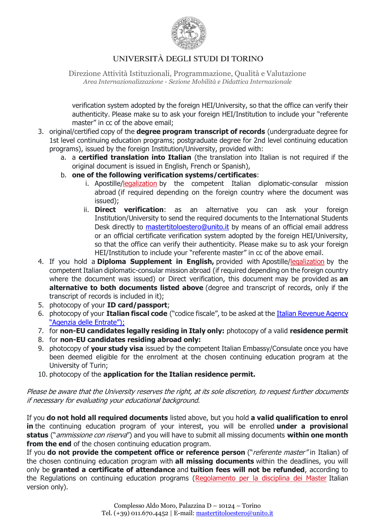

Direzione Attività Istituzionali, Programmazione, Qualità e Valutazione *Area Internazionalizzazione - Sezione Mobilità e Didattica Internazionale*

verification system adopted by the foreign HEI/University, so that the office can verify their authenticity. Please make su to ask your foreign HEI/Institution to include your "referente master" in cc of the above email;

- 3. original/certified copy of the **degree program transcript of records** (undergraduate degree for 1st level continuing education programs; postgraduate degree for 2nd level continuing education programs), issued by the foreign Institution/University, provided with:
	- a. a **certified translation into Italian** (the translation into Italian is not required if the original document is issued in English, French or Spanish),
	- b. **one of the following verification systems/certificates**:
		- i. Apostille[/legalization](https://www.esteri.it/mae/en/servizi/italiani-all-estero/traduzione-e-legalizzazione-documenti.html) by the competent Italian diplomatic-consular mission abroad (if required depending on the foreign country where the document was issued);
		- ii. **Direct verification**: as an alternative you can ask your foreign Institution/University to send the required documents to the International Students Desk directly to [mastertitoloestero@unito.it](mailto:mastertitoloestero@unito.it) by means of an official email address or an official certificate verification system adopted by the foreign HEI/University, so that the office can verify their authenticity. Please make su to ask your foreign HEI/Institution to include your "referente master" in cc of the above email.
- 4. If you hold a **Diploma Supplement in English,** provided with Apostille[/legalization](https://www.esteri.it/mae/en/servizi/italiani-all-estero/traduzione-e-legalizzazione-documenti.html) by the competent Italian diplomatic-consular mission abroad (if required depending on the foreign country where the document was issued) or Direct verification, this document may be provided as **an alternative to both documents listed above** (degree and transcript of records, only if the transcript of records is included in it);
- 5. photocopy of your **ID card/passport**;
- 6. photocopy of your **Italian fiscal code** ("codice fiscale", to be asked at the [Italian Revenue Agency](https://www.agenziaentrate.gov.it/portale/web/english/nse/individuals/tax-identification-number-for-foreign-citizens)  ["Agenzia delle Entrate"\)](https://www.agenziaentrate.gov.it/portale/web/english/nse/individuals/tax-identification-number-for-foreign-citizens);
- 7. for **non-EU candidates legally residing in Italy only:** photocopy of a valid **residence permit**
- 8. for **non-EU candidates residing abroad only:**
- 9. photocopy of **your study visa** issued by the competent Italian Embassy/Consulate once you have been deemed eligible for the enrolment at the chosen continuing education program at the University of Turin;
- 10. photocopy of the **application for the Italian residence permit.**

Please be aware that the University reserves the right, at its sole discretion, to request further documents if necessary for evaluating your educational background.

If you **do not hold all required documents** listed above, but you hold **a valid qualification to enrol in** the continuing education program of your interest, you will be enrolled **under a provisional status** ("ammissione con riserva") and you will have to submit all missing documents **within one month from the end** of the chosen continuing education program.

If you **do not provide the competent office or reference person** ("referente master" in Italian) of the chosen continuing education program with **all missing documents** within the deadlines, you will only be **granted a certificate of attendance** and **tuition fees will not be refunded**, according to the Regulations on continuing education programs [\(Regolamento per la disciplina dei Master](https://www.unito.it/sites/default/files/reg_disciplina_master_dr_1981_2019.pdf) Italian version only).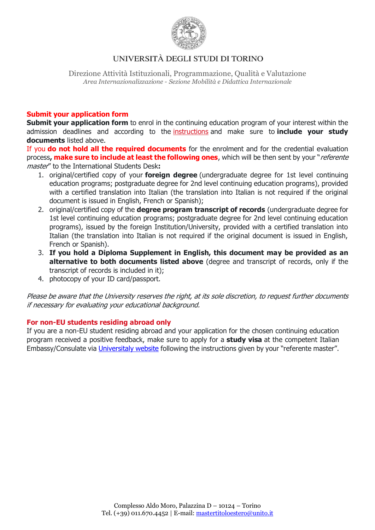

Direzione Attività Istituzionali, Programmazione, Qualità e Valutazione *Area Internazionalizzazione - Sezione Mobilità e Didattica Internazionale*

### **Submit your application form**

**Submit your application form** to enrol in the continuing education program of your interest within the admission deadlines and according to the [instructions](https://en.unito.it/studying-unito/enrolment-procedure/enrolment-continuing-education-programs-specialization-courses) and make sure to **include your study documents** listed above.

If you **do not hold all the required documents** for the enrolment and for the credential evaluation process**, make sure to include at least the following ones**, which will be then sent by your "referente master" to the International Students Desk**:**

- 1. original/certified copy of your **foreign degree** (undergraduate degree for 1st level continuing education programs; postgraduate degree for 2nd level continuing education programs), provided with a certified translation into Italian (the translation into Italian is not required if the original document is issued in English, French or Spanish);
- 2. original/certified copy of the **degree program transcript of records** (undergraduate degree for 1st level continuing education programs; postgraduate degree for 2nd level continuing education programs), issued by the foreign Institution/University, provided with a certified translation into Italian (the translation into Italian is not required if the original document is issued in English, French or Spanish).
- 3. **If you hold a Diploma Supplement in English, this document may be provided as an alternative to both documents listed above** (degree and transcript of records, only if the transcript of records is included in it);
- 4. photocopy of your ID card/passport.

Please be aware that the University reserves the right, at its sole discretion, to request further documents if necessary for evaluating your educational background.

#### **For non-EU students residing abroad only**

If you are a non-EU student residing abroad and your application for the chosen continuing education program received a positive feedback, make sure to apply for a **study visa** at the competent Italian Embassy/Consulate via [Universitaly website](https://www.universitaly.it/index.php/) following the instructions given by your "referente master".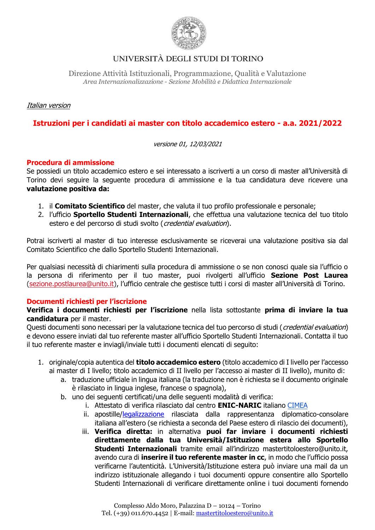

Direzione Attività Istituzionali, Programmazione, Qualità e Valutazione *Area Internazionalizzazione - Sezione Mobilità e Didattica Internazionale*

Italian version

## **Istruzioni per i candidati ai master con titolo accademico estero - a.a. 2021/2022**

versione 01, 12/03/2021

#### **Procedura di ammissione**

Se possiedi un titolo accademico estero e sei interessato a iscriverti a un corso di master all'Università di Torino devi seguire la seguente procedura di ammissione e la tua candidatura deve ricevere una **valutazione positiva da:**

- 1. il **Comitato Scientifico** del master, che valuta il tuo profilo professionale e personale;
- 2. l'ufficio **Sportello Studenti Internazionali**, che effettua una valutazione tecnica del tuo titolo estero e del percorso di studi svolto (credential evaluation).

Potrai iscriverti al master di tuo interesse esclusivamente se riceverai una valutazione positiva sia dal Comitato Scientifico che dallo Sportello Studenti Internazionali.

Per qualsiasi necessità di chiarimenti sulla procedura di ammissione o se non conosci quale sia l'ufficio o la persona di riferimento per il tuo master, puoi rivolgerti all'ufficio **Sezione Post Laurea**  [\(sezione.postlaurea@unito.it\)](mailto:sezione.postlaurea@unito.it), l'ufficio centrale che gestisce tutti i corsi di master all'Università di Torino.

#### **Documenti richiesti per l'iscrizione**

**Verifica i documenti richiesti per l'iscrizione** nella lista sottostante **prima di inviare la tua candidatura** per il master.

Questi documenti sono necessari per la valutazione tecnica del tuo percorso di studi (*credential evaluation*) e devono essere inviati dal tuo referente master all'ufficio Sportello Studenti Internazionali. Contatta il tuo il tuo referente master e inviagli/inviale tutti i documenti elencati di seguito:

- 1. originale/copia autentica del **titolo accademico estero** (titolo accademico di I livello per l'accesso ai master di I livello; titolo accademico di II livello per l'accesso ai master di II livello), munito di:
	- a. traduzione ufficiale in lingua italiana (la traduzione non è richiesta se il documento originale è rilasciato in lingua inglese, francese o spagnola),
	- b. uno dei seguenti certificati/una delle seguenti modalità di verifica:
		- i. Attestato di verifica rilasciato dal centro **ENIC-NARIC** italiano [CIMEA](http://www.cimea.it/en/services/statements-of-comparability/attestati-di-comparabilita-e-di-verifica-dei-titoli-diplome.aspx)
			- ii. apostille[/legalizzazione](https://www.esteri.it/mae/it/servizi/italiani-all-estero/traduzione-e-legalizzazione-documenti.html) rilasciata dalla rappresentanza diplomatico-consolare italiana all'estero (se richiesta a seconda del Paese estero di rilascio dei documenti),
		- iii. **Verifica diretta:** in alternativa **puoi far inviare i documenti richiesti direttamente dalla tua Università/Istituzione estera allo Sportello Studenti Internazionali** tramite email all'indirizzo mastertitoloestero@unito.it, avendo cura di **inserire il tuo referente master in cc**, in modo che l'ufficio possa verificarne l'autenticità. L'Università/Istituzione estera può inviare una mail da un indirizzo istituzionale allegando i tuoi documenti oppure consentire allo Sportello Studenti Internazionali di verificare direttamente online i tuoi documenti fornendo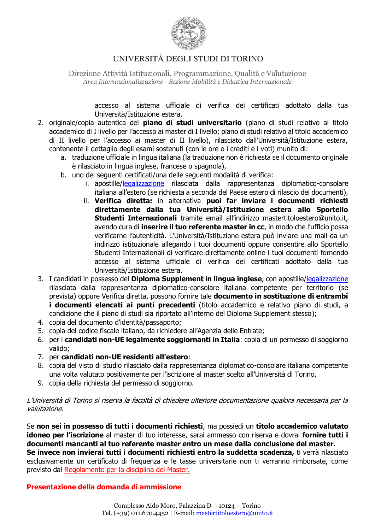

Direzione Attività Istituzionali, Programmazione, Qualità e Valutazione *Area Internazionalizzazione - Sezione Mobilità e Didattica Internazionale*

> accesso al sistema ufficiale di verifica dei certificati adottato dalla tua Università/Istituzione estera.

- 2. originale/copia autentica del **piano di studi universitario** (piano di studi relativo al titolo accademico di I livello per l'accesso ai master di I livello; piano di studi relativo al titolo accademico di II livello per l'accesso ai master di II livello), rilasciato dall'Università/Istituzione estera, contenente il dettaglio degli esami sostenuti (con le ore o i crediti e i voti) munito di:
	- a. traduzione ufficiale in lingua italiana (la traduzione non è richiesta se il documento originale è rilasciato in lingua inglese, francese o spagnola),
	- b. uno dei seguenti certificati/una delle seguenti modalità di verifica:
		- i. apostille[/legalizzazione](https://www.esteri.it/mae/it/servizi/italiani-all-estero/traduzione-e-legalizzazione-documenti.html) rilasciata dalla rappresentanza diplomatico-consolare italiana all'estero (se richiesta a seconda del Paese estero di rilascio dei documenti),
		- ii. **Verifica diretta:** in alternativa **puoi far inviare i documenti richiesti direttamente dalla tua Università/Istituzione estera allo Sportello Studenti Internazionali** tramite email all'indirizzo mastertitoloestero@unito.it, avendo cura di **inserire il tuo referente master in cc**, in modo che l'ufficio possa verificarne l'autenticità. L'Università/Istituzione estera può inviare una mail da un indirizzo istituzionale allegando i tuoi documenti oppure consentire allo Sportello Studenti Internazionali di verificare direttamente online i tuoi documenti fornendo accesso al sistema ufficiale di verifica dei certificati adottato dalla tua Università/Istituzione estera.
- 3. I candidati in possesso del **Diploma Supplement in lingua inglese**, con apostille[/legalizzazione](https://www.esteri.it/mae/it/servizi/italiani-all-estero/traduzione-e-legalizzazione-documenti.html) rilasciata dalla rappresentanza diplomatico-consolare italiana competente per territorio (se prevista) oppure Verifica diretta, possono fornire tale **documento in sostituzione di entrambi i documenti elencati ai punti precedenti** (titolo accademico e relativo piano di studi, a condizione che il piano di studi sia riportato all'interno del Diploma Supplement stesso);
- 4. copia del documento d'identità/passaporto;
- 5. copia del codice fiscale italiano, da richiedere [all'Agenzia delle Entrate](https://www.agenziaentrate.gov.it/portale/richiesta-o-duplicato-codice-fiscale);
- 6. per i **candidati non-UE legalmente soggiornanti in Italia**: copia di un permesso di soggiorno valido;
- 7. per **candidati non-UE residenti all'estero**:
- 8. copia del visto di studio rilasciato dalla rappresentanza diplomatico-consolare italiana competente una volta valutato positivamente per l'iscrizione al master scelto all'Università di Torino,
- 9. copia della richiesta del permesso di soggiorno.

L'Università di Torino si riserva la facoltà di chiedere ulteriore documentazione qualora necessaria per la valutazione.

Se **non sei in possesso di tutti i documenti richiesti**, ma possiedi un **titolo accademico valutato idoneo per l'iscrizione** al master di tuo interesse, sarai ammesso con riserva e dovrai **fornire tutti i documenti mancanti al tuo referente master entro un mese dalla conclusione del master. Se invece non invierai tutti i documenti richiesti entro la suddetta scadenza,** ti verrà rilasciato esclusivamente un certificato di frequenza e le tasse universitarie non ti verranno rimborsate, come previsto dal Regolamento per la disciplina dei Master.

#### **Presentazione della domanda di ammissione**